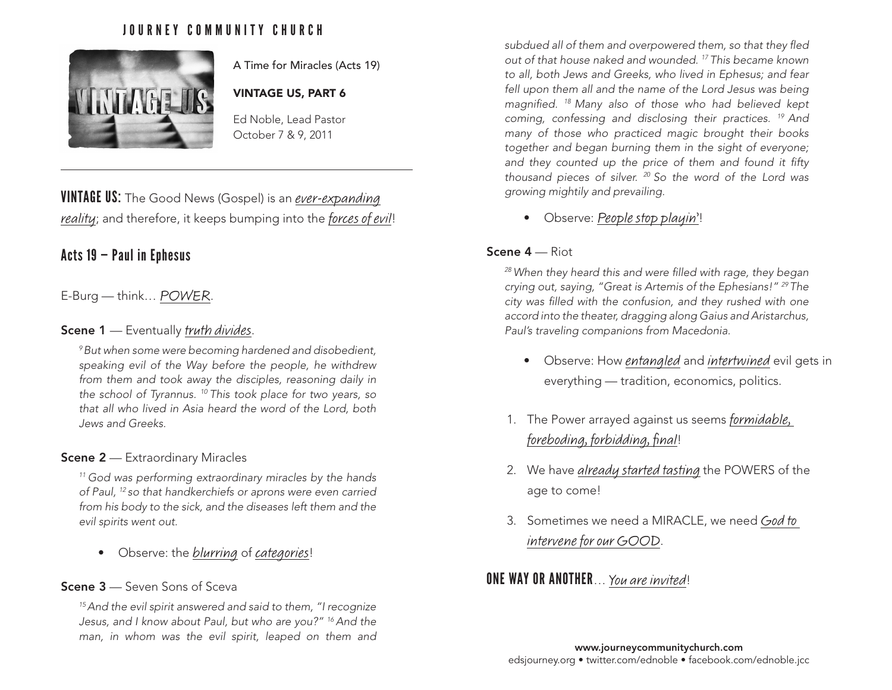# JOURNEY COMMUNITY CHURCH



A Time for Miracles (Acts 19)

## VINTAGE US, PART 6

Ed Noble, Lead Pastor October 7 & 9, 2011

VINTAGE US: The Good News (Gospel) is an ever-expanding reality; and therefore, it keeps bumping into the forces of evil!

# Acts 19 — Paul in Ephesus

## E-Burg — think… POWER.

### Scene 1 - Eventually truth divides.

*9 But when some were becoming hardened and disobedient, speaking evil of the Way before the people, he withdrew from them and took away the disciples, reasoning daily in the school of Tyrannus. 10 This took place for two years, so that all who lived in Asia heard the word of the Lord, both Jews and Greeks.*

### **Scene 2** — Extraordinary Miracles

*11 God was performing extraordinary miracles by the hands of Paul, 12 so that handkerchiefs or aprons were even carried from his body to the sick, and the diseases left them and the evil spirits went out.*

• Observe: the blurring of categories!

## Scene 3 – Seven Sons of Sceva

*15 And the evil spirit answered and said to them, "I recognize Jesus, and I know about Paul, but who are you?" 16 And the man, in whom was the evil spirit, leaped on them and*  *subdued all of them and overpowered them, so that they fled out of that house naked and wounded. 17 This became known to all, both Jews and Greeks, who lived in Ephesus; and fear fell upon them all and the name of the Lord Jesus was being magnified. 18 Many also of those who had believed kept coming, confessing and disclosing their practices. 19 And many of those who practiced magic brought their books together and began burning them in the sight of everyone; and they counted up the price of them and found it fifty thousand pieces of silver. 20 So the word of the Lord was growing mightily and prevailing.*

• Observe: People stop playin'!

### Scene 4 — Riot

*28 When they heard this and were filled with rage, they began crying out, saying, "Great is Artemis of the Ephesians!" 29 The city was filled with the confusion, and they rushed with one accord into the theater, dragging along Gaius and Aristarchus, Paul's traveling companions from Macedonia.*

- Observe: How entangled and intertwined evil gets in everything — tradition, economics, politics.
- 1. The Power arrayed against us seems formidable, foreboding, forbidding, final!
- 2. We have already started tasting the POWERS of the age to come!
- 3. Sometimes we need a MIRACLE, we need God to intervene for our GOOD.

# **ONE WAY OR ANOTHER** ... You are invited!